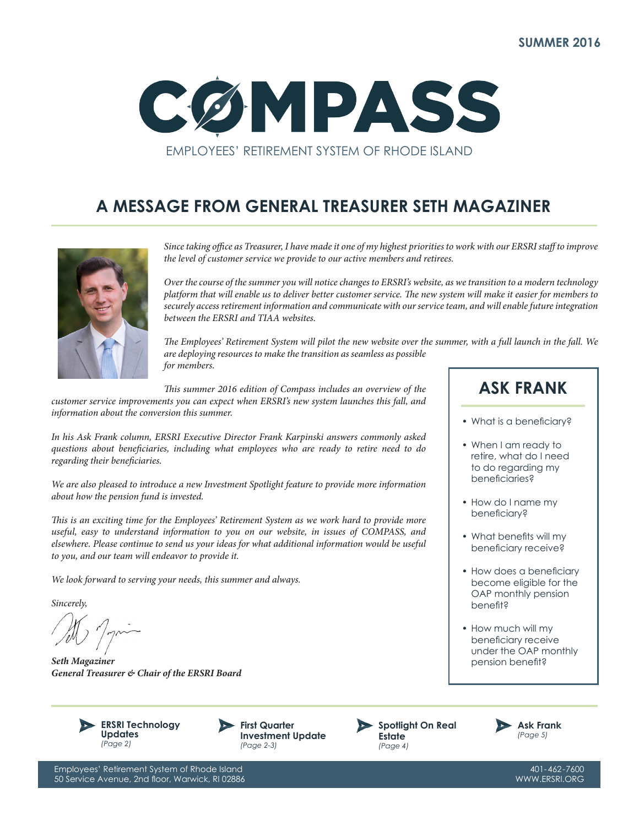

## **A MESSAGE FROM GENERAL TREASURER SETH MAGAZINER**



*Since taking office as Treasurer, I have made it one of my highest priorities to work with our ERSRI staff to improve the level of customer service we provide to our active members and retirees.*

*Over the course of the summer you will notice changes to ERSRI's website, as we transition to a modern technology platform that will enable us to deliver better customer service. The new system will make it easier for members to securely access retirement information and communicate with our service team, and will enable future integration between the ERSRI and TIAA websites.*

*The Employees' Retirement System will pilot the new website over the summer, with a full launch in the fall. We are deploying resources to make the transition as seamless as possible for members.*

*This summer 2016 edition of Compass includes an overview of the customer service improvements you can expect when ERSRI's new system launches this fall, and information about the conversion this summer.*

*In his Ask Frank column, ERSRI Executive Director Frank Karpinski answers commonly asked questions about beneficiaries, including what employees who are ready to retire need to do regarding their beneficiaries.*

*We are also pleased to introduce a new Investment Spotlight feature to provide more information about how the pension fund is invested.* 

*This is an exciting time for the Employees' Retirement System as we work hard to provide more useful, easy to understand information to you on our website, in issues of COMPASS, and elsewhere. Please continue to send us your ideas for what additional information would be useful to you, and our team will endeavor to provide it.* 

*We look forward to serving your needs, this summer and always.*

*Sincerely,*

/M / prim

*Seth Magaziner General Treasurer & Chair of the ERSRI Board*









**ASK FRANK**

- What is a beneficiary?
- When I am ready to retire, what do I need to do regarding my beneficiaries?
- How do I name my beneficiary?
- What benefits will my beneficiary receive?
- How does a beneficiary become eligible for the OAP monthly pension benefit?
- How much will my beneficiary receive under the OAP monthly pension benefit?

401-462-7600 WWW.ERSRI.ORG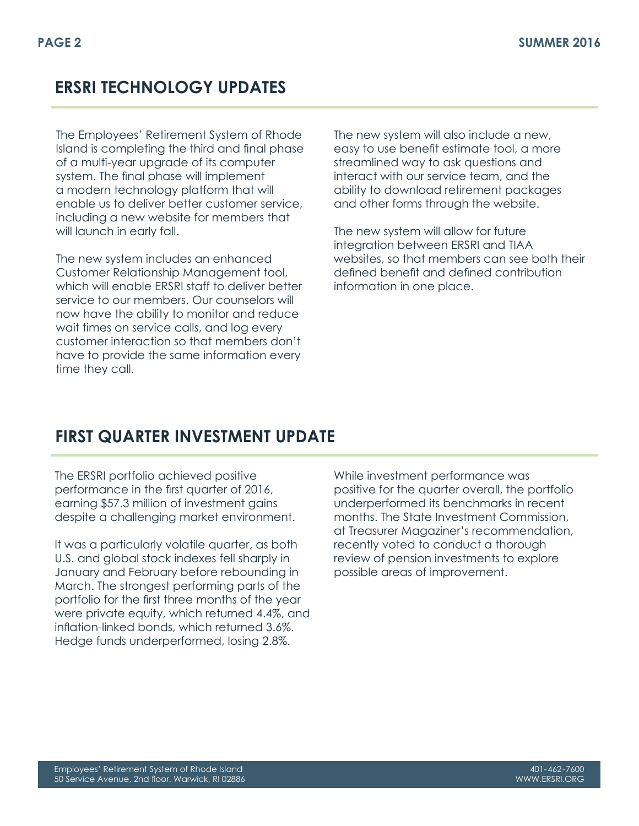## **ERSRI TECHNOLOGY UPDATES**

The Employees' Retirement System of Rhode Island is completing the third and final phase of a multi-year upgrade of its computer system. The final phase will implement a modern technology platform that will enable us to deliver better customer service, including a new website for members that will launch in early fall.

The new system includes an enhanced Customer Relationship Management tool, which will enable ERSRI staff to deliver better service to our members. Our counselors will now have the ability to monitor and reduce wait times on service calls, and log every customer interaction so that members don't have to provide the same information every time they call.

The new system will also include a new, easy to use benefit estimate tool, a more streamlined way to ask questions and interact with our service team, and the ability to download retirement packages and other forms through the website.

The new system will allow for future integration between ERSRI and TIAA websites, so that members can see both their defined benefit and defined contribution information in one place.

## **FIRST QUARTER INVESTMENT UPDATE**

The ERSRI portfolio achieved positive performance in the first quarter of 2016, earning \$57.3 million of investment gains despite a challenging market environment.

It was a particularly volatile quarter, as both U.S. and global stock indexes fell sharply in January and February before rebounding in March. The strongest performing parts of the portfolio for the first three months of the year were private equity, which returned 4.4%, and inflation-linked bonds, which returned 3.6%. Hedge funds underperformed, losing 2.8%.

While investment performance was positive for the quarter overall, the portfolio underperformed its benchmarks in recent months. The State Investment Commission, at Treasurer Magaziner's recommendation, recently voted to conduct a thorough review of pension investments to explore possible areas of improvement.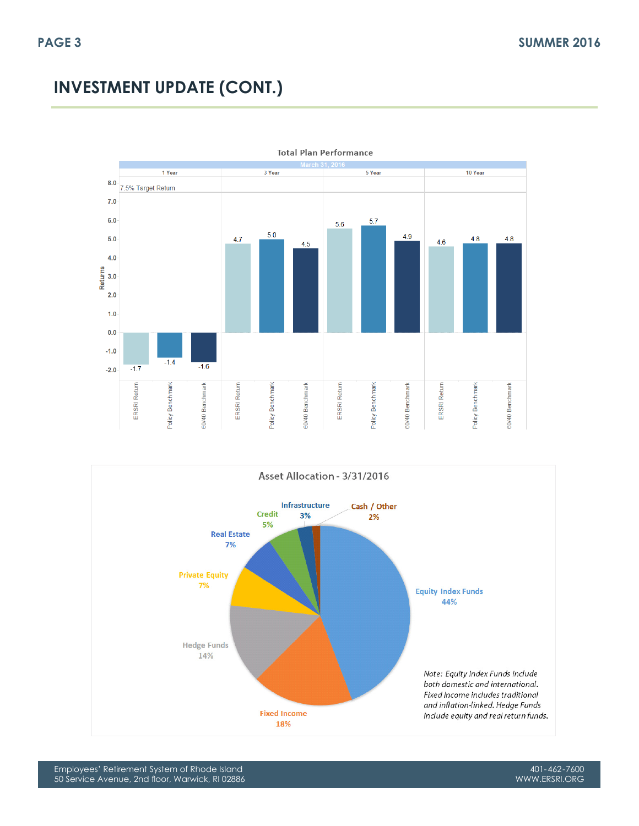# **INVESTMENT UPDATE (CONT.)**





Employees' Retirement System of Rhode Island 50 Service Avenue, 2nd floor, Warwick, RI 02886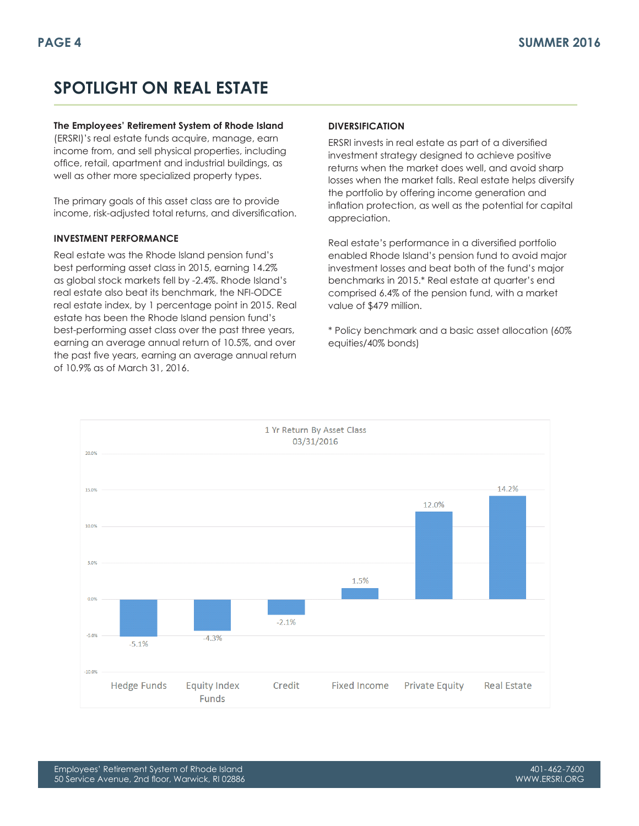# **SPOTLIGHT ON REAL ESTATE**

#### **The Employees' Retirement System of Rhode Island**

(ERSRI)'s real estate funds acquire, manage, earn income from, and sell physical properties, including office, retail, apartment and industrial buildings, as well as other more specialized property types.

The primary goals of this asset class are to provide income, risk-adjusted total returns, and diversification.

#### **INVESTMENT PERFORMANCE**

Real estate was the Rhode Island pension fund's best performing asset class in 2015, earning 14.2% as global stock markets fell by -2.4%. Rhode Island's real estate also beat its benchmark, the NFI-ODCE real estate index, by 1 percentage point in 2015. Real estate has been the Rhode Island pension fund's best-performing asset class over the past three years, earning an average annual return of 10.5%, and over the past five years, earning an average annual return of 10.9% as of March 31, 2016.

#### **DIVERSIFICATION**

ERSRI invests in real estate as part of a diversified investment strategy designed to achieve positive returns when the market does well, and avoid sharp losses when the market falls. Real estate helps diversify the portfolio by offering income generation and inflation protection, as well as the potential for capital appreciation.

Real estate's performance in a diversified portfolio enabled Rhode Island's pension fund to avoid major investment losses and beat both of the fund's major benchmarks in 2015.\* Real estate at quarter's end comprised 6.4% of the pension fund, with a market value of \$479 million.

\* Policy benchmark and a basic asset allocation (60% equities/40% bonds)

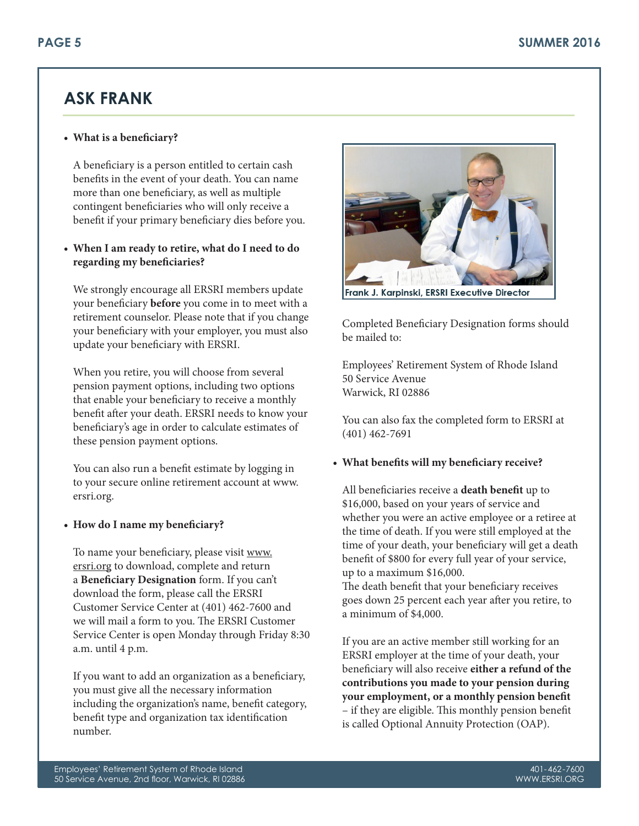## **ASK FRANK**

### **• What is a beneficiary?**

A beneficiary is a person entitled to certain cash benefits in the event of your death. You can name more than one beneficiary, as well as multiple contingent beneficiaries who will only receive a benefit if your primary beneficiary dies before you.

### **• When I am ready to retire, what do I need to do regarding my beneficiaries?**

We strongly encourage all ERSRI members update your beneficiary **before** you come in to meet with a retirement counselor. Please note that if you change your beneficiary with your employer, you must also update your beneficiary with ERSRI.

When you retire, you will choose from several pension payment options, including two options that enable your beneficiary to receive a monthly benefit after your death. ERSRI needs to know your beneficiary's age in order to calculate estimates of these pension payment options.

You can also run a benefit estimate by logging in to your secure online retirement account at www. ersri.org.

### **• How do I name my beneficiary?**

To name your beneficiary, please visit www. ersri.org to download, complete and return a **Beneficiary Designation** form. If you can't download the form, please call the ERSRI Customer Service Center at (401) 462-7600 and we will mail a form to you. The ERSRI Customer Service Center is open Monday through Friday 8:30 a.m. until 4 p.m.

If you want to add an organization as a beneficiary, you must give all the necessary information including the organization's name, benefit category, benefit type and organization tax identification number.



Frank J. Karpinski, ERSRI Executive Director

Completed Beneficiary Designation forms should be mailed to:

Employees' Retirement System of Rhode Island 50 Service Avenue Warwick, RI 02886

You can also fax the completed form to ERSRI at (401) 462-7691

### **• What benefits will my beneficiary receive?**

All beneficiaries receive a **death benefit** up to \$16,000, based on your years of service and whether you were an active employee or a retiree at the time of death. If you were still employed at the time of your death, your beneficiary will get a death benefit of \$800 for every full year of your service, up to a maximum \$16,000.

The death benefit that your beneficiary receives goes down 25 percent each year after you retire, to a minimum of \$4,000.

If you are an active member still working for an ERSRI employer at the time of your death, your beneficiary will also receive **either a refund of the contributions you made to your pension during your employment, or a monthly pension benefit** – if they are eligible. This monthly pension benefit is called Optional Annuity Protection (OAP).